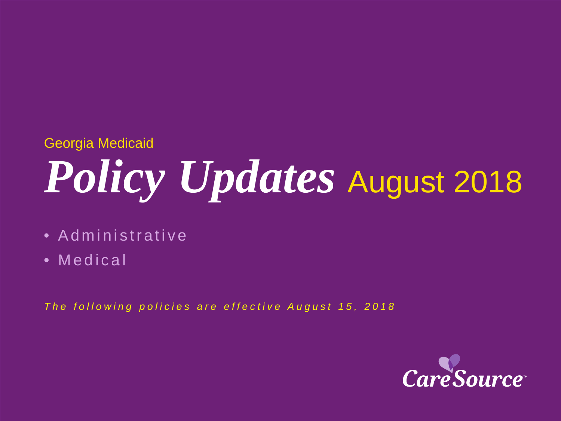#### Georgia Medicaid

# *Policy Updates* August 2018

- Administrative
- Medical

*The following policies are effective August 15, 2018*

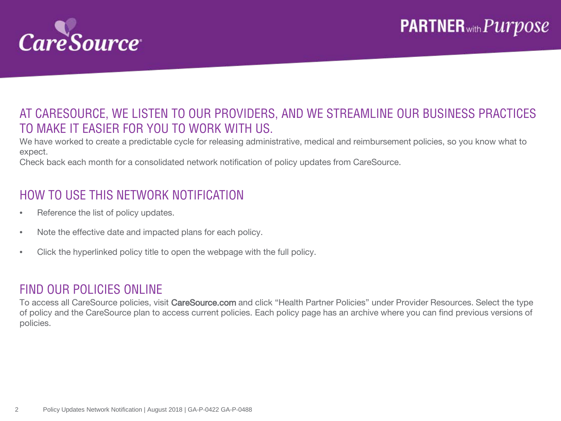

#### AT CARESOURCE, WE LISTEN TO OUR PROVIDERS, AND WE STREAMLINE OUR BUSINESS PRACTICES TO MAKE IT EASIER FOR YOU TO WORK WITH US.

We have worked to create a predictable cycle for releasing administrative, medical and reimbursement policies, so you know what to expect.

Check back each month for a consolidated network notification of policy updates from CareSource.

#### HOW TO USE THIS NETWORK NOTIFICATION

- Reference the list of policy updates.
- Note the effective date and impacted plans for each policy.
- Click the hyperlinked policy title to open the webpage with the full policy.

#### FIND OUR POLICIES ONLINE

To access all CareSource policies, visit CareSource.com and click "Health Partner Policies" under Provider Resources. Select the type of policy and the CareSource plan to access current policies. Each policy page has an archive where you can find previous versions of policies.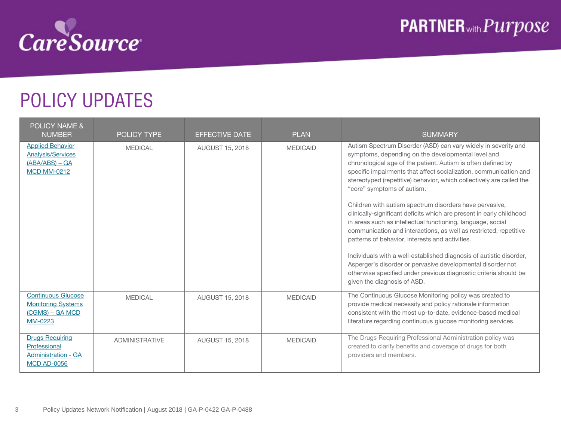

## POLICY UPDATES

| <b>POLICY NAME &amp;</b><br><b>NUMBER</b>                                                     | <b>POLICY TYPE</b>    | <b>EFFECTIVE DATE</b>  | <b>PLAN</b>     | <b>SUMMARY</b>                                                                                                                                                                                                                                                                                                                                                                                                                                                                                                                                                                                                                                                                                                                                                                                                                                                                                                                     |
|-----------------------------------------------------------------------------------------------|-----------------------|------------------------|-----------------|------------------------------------------------------------------------------------------------------------------------------------------------------------------------------------------------------------------------------------------------------------------------------------------------------------------------------------------------------------------------------------------------------------------------------------------------------------------------------------------------------------------------------------------------------------------------------------------------------------------------------------------------------------------------------------------------------------------------------------------------------------------------------------------------------------------------------------------------------------------------------------------------------------------------------------|
| <b>Applied Behavior</b><br><b>Analysis/Services</b><br>$(ABA/ABS) - GA$<br><b>MCD MM-0212</b> | <b>MEDICAL</b>        | <b>AUGUST 15, 2018</b> | <b>MEDICAID</b> | Autism Spectrum Disorder (ASD) can vary widely in severity and<br>symptoms, depending on the developmental level and<br>chronological age of the patient. Autism is often defined by<br>specific impairments that affect socialization, communication and<br>stereotyped (repetitive) behavior, which collectively are called the<br>"core" symptoms of autism.<br>Children with autism spectrum disorders have pervasive,<br>clinically-significant deficits which are present in early childhood<br>in areas such as intellectual functioning, language, social<br>communication and interactions, as well as restricted, repetitive<br>patterns of behavior, interests and activities.<br>Individuals with a well-established diagnosis of autistic disorder,<br>Asperger's disorder or pervasive developmental disorder not<br>otherwise specified under previous diagnostic criteria should be<br>given the diagnosis of ASD. |
| <b>Continuous Glucose</b><br><b>Monitoring Systems</b><br>(CGMS) – GA MCD<br>MM-0223          | <b>MEDICAL</b>        | AUGUST 15, 2018        | <b>MEDICAID</b> | The Continuous Glucose Monitoring policy was created to<br>provide medical necessity and policy rationale information<br>consistent with the most up-to-date, evidence-based medical<br>literature regarding continuous glucose monitoring services.                                                                                                                                                                                                                                                                                                                                                                                                                                                                                                                                                                                                                                                                               |
| <b>Drugs Requiring</b><br>Professional<br><b>Administration - GA</b><br><b>MCD AD-0056</b>    | <b>ADMINISTRATIVE</b> | AUGUST 15, 2018        | <b>MEDICAID</b> | The Drugs Requiring Professional Administration policy was<br>created to clarify benefits and coverage of drugs for both<br>providers and members.                                                                                                                                                                                                                                                                                                                                                                                                                                                                                                                                                                                                                                                                                                                                                                                 |